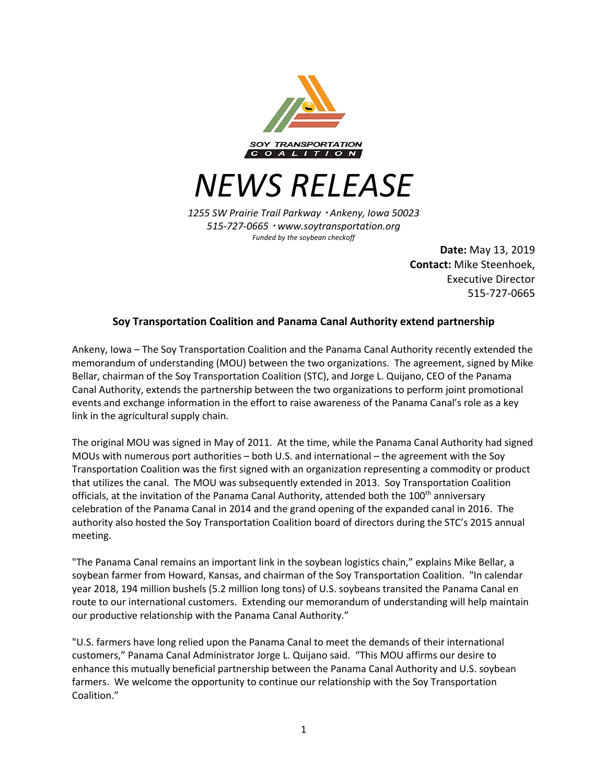

*NEWS RELEASE*

*1255 SW Prairie Trail Parkway* <sup>¬</sup> *Ankeny, Iowa 50023 515-727-0665* <sup>¬</sup> *www.soytransportation.org Funded by the soybean checkoff*

> **Date:** May 13, 2019 **Contact:** Mike Steenhoek, Executive Director 515-727-0665

## **Soy Transportation Coalition and Panama Canal Authority extend partnership**

Ankeny, Iowa – The Soy Transportation Coalition and the Panama Canal Authority recently extended the memorandum of understanding (MOU) between the two organizations. The agreement, signed by Mike Bellar, chairman of the Soy Transportation Coalition (STC), and Jorge L. Quijano, CEO of the Panama Canal Authority, extends the partnership between the two organizations to perform joint promotional events and exchange information in the effort to raise awareness of the Panama Canal's role as a key link in the agricultural supply chain.

The original MOU was signed in May of 2011. At the time, while the Panama Canal Authority had signed MOUs with numerous port authorities – both U.S. and international – the agreement with the Soy Transportation Coalition was the first signed with an organization representing a commodity or product that utilizes the canal. The MOU was subsequently extended in 2013. Soy Transportation Coalition officials, at the invitation of the Panama Canal Authority, attended both the 100<sup>th</sup> anniversary celebration of the Panama Canal in 2014 and the grand opening of the expanded canal in 2016. The authority also hosted the Soy Transportation Coalition board of directors during the STC's 2015 annual meeting.

"The Panama Canal remains an important link in the soybean logistics chain," explains Mike Bellar, a soybean farmer from Howard, Kansas, and chairman of the Soy Transportation Coalition. "In calendar year 2018, 194 million bushels (5.2 million long tons) of U.S. soybeans transited the Panama Canal en route to our international customers. Extending our memorandum of understanding will help maintain our productive relationship with the Panama Canal Authority."

"U.S. farmers have long relied upon the Panama Canal to meet the demands of their international customers," Panama Canal Administrator Jorge L. Quijano said. "This MOU affirms our desire to enhance this mutually beneficial partnership between the Panama Canal Authority and U.S. soybean farmers. We welcome the opportunity to continue our relationship with the Soy Transportation Coalition."